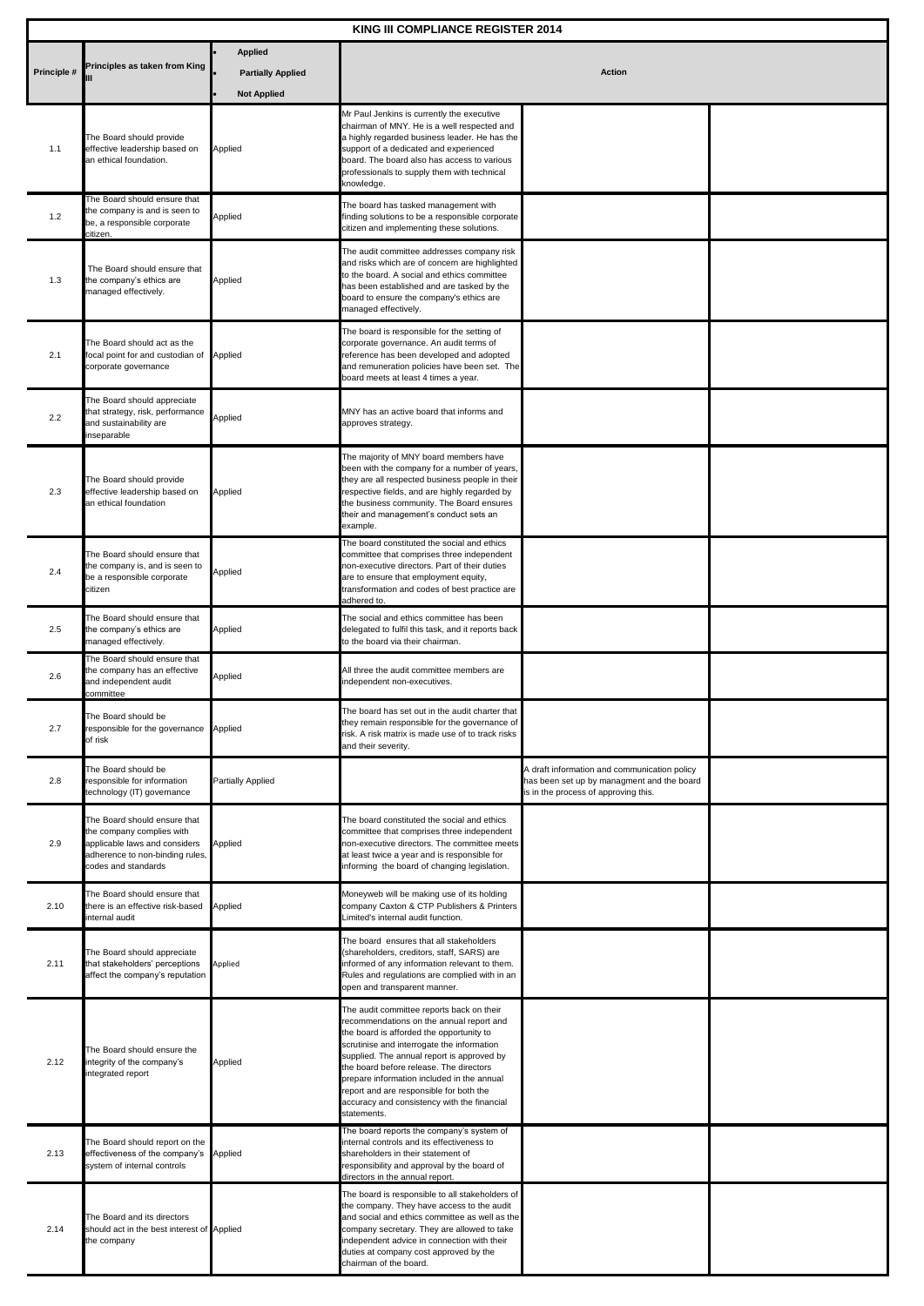| KING III COMPLIANCE REGISTER 2014 |                                                                                                                                                      |                          |                                                                                                                                                                                                                                                                                                                                                                                                                                 |                                                                                                                                    |  |  |
|-----------------------------------|------------------------------------------------------------------------------------------------------------------------------------------------------|--------------------------|---------------------------------------------------------------------------------------------------------------------------------------------------------------------------------------------------------------------------------------------------------------------------------------------------------------------------------------------------------------------------------------------------------------------------------|------------------------------------------------------------------------------------------------------------------------------------|--|--|
|                                   |                                                                                                                                                      | <b>Applied</b>           |                                                                                                                                                                                                                                                                                                                                                                                                                                 |                                                                                                                                    |  |  |
| Principle #                       | Principles as taken from King                                                                                                                        | <b>Partially Applied</b> | <b>Action</b>                                                                                                                                                                                                                                                                                                                                                                                                                   |                                                                                                                                    |  |  |
|                                   |                                                                                                                                                      | <b>Not Applied</b>       |                                                                                                                                                                                                                                                                                                                                                                                                                                 |                                                                                                                                    |  |  |
| 1.1                               | The Board should provide<br>effective leadership based on<br>an ethical foundation.                                                                  | Applied                  | Mr Paul Jenkins is currently the executive<br>chairman of MNY. He is a well respected and<br>a highly regarded business leader. He has the<br>support of a dedicated and experienced<br>board. The board also has access to various<br>professionals to supply them with technical<br>knowledge.                                                                                                                                |                                                                                                                                    |  |  |
| 1.2                               | The Board should ensure that<br>the company is and is seen to<br>be, a responsible corporate<br>citizen.                                             | Applied                  | The board has tasked management with<br>finding solutions to be a responsible corporate<br>citizen and implementing these solutions.                                                                                                                                                                                                                                                                                            |                                                                                                                                    |  |  |
| 1.3                               | The Board should ensure that<br>the company's ethics are<br>managed effectively.                                                                     | Applied                  | The audit committee addresses company risk<br>and risks which are of concern are highlighted<br>to the board. A social and ethics committee<br>has been established and are tasked by the<br>board to ensure the company's ethics are<br>managed effectively.                                                                                                                                                                   |                                                                                                                                    |  |  |
| 2.1                               | The Board should act as the<br>focal point for and custodian of Applied<br>corporate governance                                                      |                          | The board is responsible for the setting of<br>corporate governance. An audit terms of<br>reference has been developed and adopted<br>and remuneration policies have been set. The<br>board meets at least 4 times a year.                                                                                                                                                                                                      |                                                                                                                                    |  |  |
| 2.2                               | The Board should appreciate<br>that strategy, risk, performance<br>and sustainability are<br>inseparable                                             | Applied                  | MNY has an active board that informs and<br>approves strategy.                                                                                                                                                                                                                                                                                                                                                                  |                                                                                                                                    |  |  |
| 2.3                               | The Board should provide<br>effective leadership based on<br>an ethical foundation                                                                   | Applied                  | The majority of MNY board members have<br>been with the company for a number of years,<br>they are all respected business people in their<br>respective fields, and are highly regarded by<br>the business community. The Board ensures<br>their and management's conduct sets an<br>example.                                                                                                                                   |                                                                                                                                    |  |  |
| 2.4                               | The Board should ensure that<br>the company is, and is seen to<br>be a responsible corporate<br>citizen                                              | Applied                  | The board constituted the social and ethics<br>committee that comprises three independent<br>non-executive directors. Part of their duties<br>are to ensure that employment equity,<br>transformation and codes of best practice are<br>adhered to.                                                                                                                                                                             |                                                                                                                                    |  |  |
| 2.5                               | The Board should ensure that<br>the company's ethics are<br>managed effectively.                                                                     | Applied                  | The social and ethics committee has been<br>delegated to fulfil this task, and it reports back<br>to the board via their chairman.                                                                                                                                                                                                                                                                                              |                                                                                                                                    |  |  |
| 2.6                               | The Board should ensure that<br>the company has an effective<br>and independent audit<br>committee                                                   | Applied                  | All three the audit committee members are<br>independent non-executives.                                                                                                                                                                                                                                                                                                                                                        |                                                                                                                                    |  |  |
| 2.7                               | The Board should be<br>responsible for the governance Applied<br>of risk                                                                             |                          | The board has set out in the audit charter that<br>they remain responsible for the governance of<br>risk. A risk matrix is made use of to track risks<br>and their severity.                                                                                                                                                                                                                                                    |                                                                                                                                    |  |  |
| 2.8                               | The Board should be<br>responsible for information<br>technology (IT) governance                                                                     | Partially Applied        |                                                                                                                                                                                                                                                                                                                                                                                                                                 | A draft information and communication policy<br>has been set up by managment and the board<br>is in the process of approving this. |  |  |
| 2.9                               | The Board should ensure that<br>the company complies with<br>applicable laws and considers<br>adherence to non-binding rules,<br>codes and standards | Applied                  | The board constituted the social and ethics<br>committee that comprises three independent<br>non-executive directors. The committee meets<br>at least twice a year and is responsible for<br>informing the board of changing legislation.                                                                                                                                                                                       |                                                                                                                                    |  |  |
| 2.10                              | The Board should ensure that<br>there is an effective risk-based<br>internal audit                                                                   | Applied                  | Moneyweb will be making use of its holding<br>company Caxton & CTP Publishers & Printers<br>Limited's internal audit function.                                                                                                                                                                                                                                                                                                  |                                                                                                                                    |  |  |
| 2.11                              | The Board should appreciate<br>that stakeholders' perceptions<br>affect the company's reputation                                                     | Applied                  | The board ensures that all stakeholders<br>(shareholders, creditors, staff, SARS) are<br>nformed of any information relevant to them.<br>Rules and regulations are complied with in an<br>open and transparent manner.                                                                                                                                                                                                          |                                                                                                                                    |  |  |
| 2.12                              | The Board should ensure the<br>integrity of the company's<br>integrated report                                                                       | Applied                  | The audit committee reports back on their<br>recommendations on the annual report and<br>the board is afforded the opportunity to<br>scrutinise and interrogate the information<br>supplied. The annual report is approved by<br>the board before release. The directors<br>prepare information included in the annual<br>report and are responsible for both the<br>accuracy and consistency with the financial<br>statements. |                                                                                                                                    |  |  |
| 2.13                              | The Board should report on the<br>effectiveness of the company's Applied<br>system of internal controls                                              |                          | The board reports the company's system of<br>internal controls and its effectiveness to<br>shareholders in their statement of<br>responsibility and approval by the board of<br>directors in the annual report.                                                                                                                                                                                                                 |                                                                                                                                    |  |  |
| 2.14                              | The Board and its directors<br>should act in the best interest of Applied<br>the company                                                             |                          | The board is responsible to all stakeholders of<br>the company. They have access to the audit<br>and social and ethics committee as well as the<br>company secretary. They are allowed to take<br>independent advice in connection with their<br>duties at company cost approved by the<br>chairman of the board.                                                                                                               |                                                                                                                                    |  |  |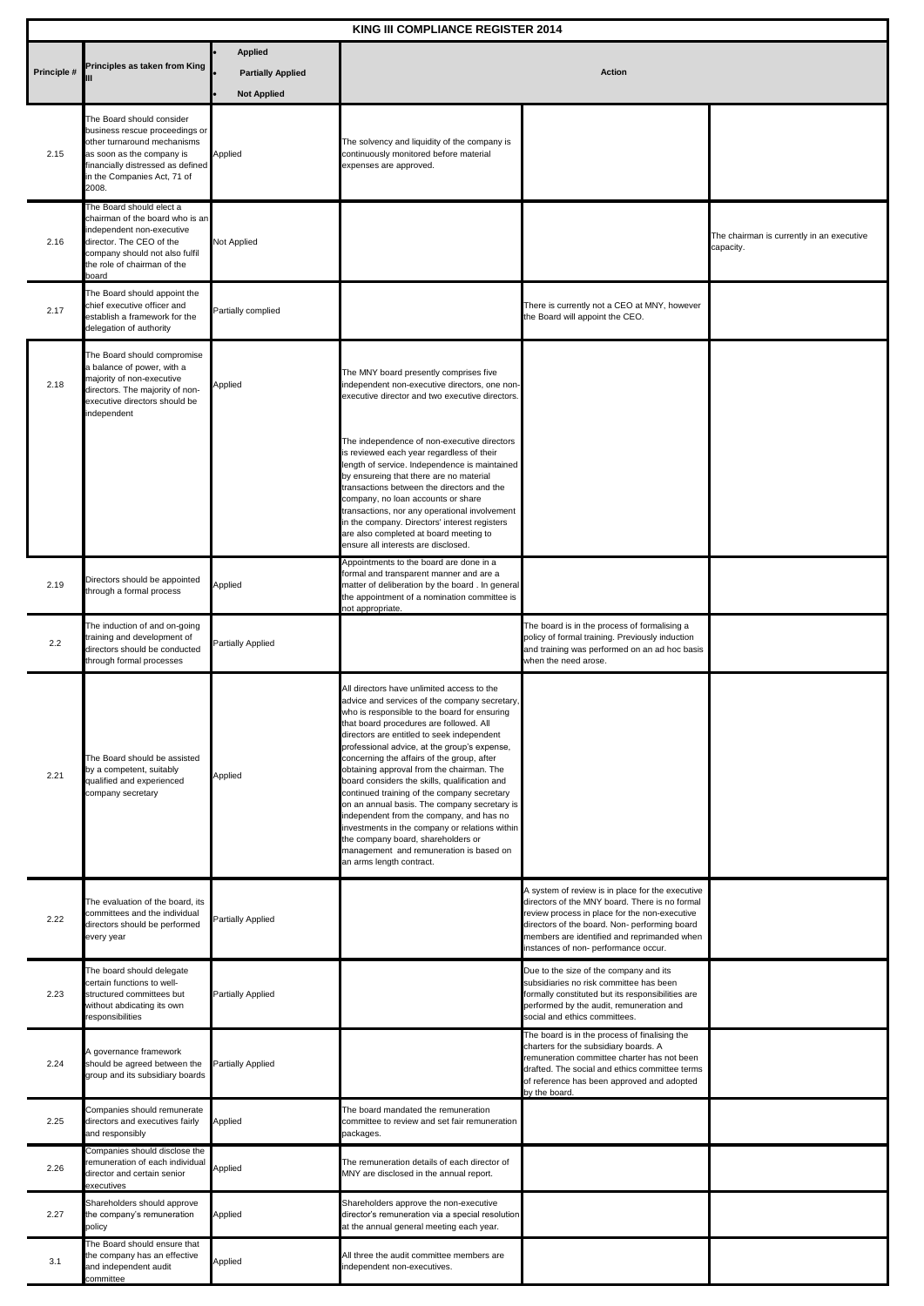| KING III COMPLIANCE REGISTER 2014 |                                                                                                                                                                                                    |                                                                  |                                                                                                                                                                                                                                                                                                                                                                                                                                                                                                                                                                                                                                                                                                                                            |                                                                                                                                                                                                                                                                                             |                                                        |  |
|-----------------------------------|----------------------------------------------------------------------------------------------------------------------------------------------------------------------------------------------------|------------------------------------------------------------------|--------------------------------------------------------------------------------------------------------------------------------------------------------------------------------------------------------------------------------------------------------------------------------------------------------------------------------------------------------------------------------------------------------------------------------------------------------------------------------------------------------------------------------------------------------------------------------------------------------------------------------------------------------------------------------------------------------------------------------------------|---------------------------------------------------------------------------------------------------------------------------------------------------------------------------------------------------------------------------------------------------------------------------------------------|--------------------------------------------------------|--|
| Principle #                       | Principles as taken from King                                                                                                                                                                      | <b>Applied</b><br><b>Partially Applied</b><br><b>Not Applied</b> | <b>Action</b>                                                                                                                                                                                                                                                                                                                                                                                                                                                                                                                                                                                                                                                                                                                              |                                                                                                                                                                                                                                                                                             |                                                        |  |
| 2.15                              | The Board should consider<br>business rescue proceedings or<br>other turnaround mechanisms<br>as soon as the company is<br>inancially distressed as defined<br>n the Companies Act, 71 of<br>2008. | Applied                                                          | The solvency and liquidity of the company is<br>continuously monitored before material<br>expenses are approved.                                                                                                                                                                                                                                                                                                                                                                                                                                                                                                                                                                                                                           |                                                                                                                                                                                                                                                                                             |                                                        |  |
| 2.16                              | The Board should elect a<br>chairman of the board who is an<br>ndependent non-executive<br>director. The CEO of the<br>company should not also fulfil<br>the role of chairman of the<br>board      | Not Applied                                                      |                                                                                                                                                                                                                                                                                                                                                                                                                                                                                                                                                                                                                                                                                                                                            |                                                                                                                                                                                                                                                                                             | The chairman is currently in an executive<br>capacity. |  |
| 2.17                              | The Board should appoint the<br>chief executive officer and<br>establish a framework for the<br>delegation of authority                                                                            | Partially complied                                               |                                                                                                                                                                                                                                                                                                                                                                                                                                                                                                                                                                                                                                                                                                                                            | There is currently not a CEO at MNY, however<br>the Board will appoint the CEO.                                                                                                                                                                                                             |                                                        |  |
| 2.18                              | The Board should compromise<br>balance of power, with a<br>najority of non-executive<br>lirectors. The majority of non-<br>executive directors should be<br>ndependent                             | Applied                                                          | The MNY board presently comprises five<br>independent non-executive directors, one non-<br>executive director and two executive directors.                                                                                                                                                                                                                                                                                                                                                                                                                                                                                                                                                                                                 |                                                                                                                                                                                                                                                                                             |                                                        |  |
|                                   |                                                                                                                                                                                                    |                                                                  | The independence of non-executive directors<br>is reviewed each year regardless of their<br>length of service. Independence is maintained<br>by ensureing that there are no material<br>transactions between the directors and the<br>company, no loan accounts or share<br>transactions, nor any operational involvement<br>in the company. Directors' interest registers<br>are also completed at board meeting to<br>ensure all interests are disclosed.                                                                                                                                                                                                                                                                                |                                                                                                                                                                                                                                                                                             |                                                        |  |
| 2.19                              | Directors should be appointed<br>hrough a formal process                                                                                                                                           | Applied                                                          | Appointments to the board are done in a<br>formal and transparent manner and are a<br>matter of deliberation by the board. In general<br>the appointment of a nomination committee is<br>not appropriate.                                                                                                                                                                                                                                                                                                                                                                                                                                                                                                                                  |                                                                                                                                                                                                                                                                                             |                                                        |  |
| 2.2                               | The induction of and on-going<br>raining and development of<br>lirectors should be conducted<br>hrough formal processes                                                                            | Partially Applied                                                |                                                                                                                                                                                                                                                                                                                                                                                                                                                                                                                                                                                                                                                                                                                                            | The board is in the process of formalising a<br>policy of formal training. Previously induction<br>and training was performed on an ad hoc basis<br>when the need arose.                                                                                                                    |                                                        |  |
| 2.21                              | The Board should be assisted<br>by a competent, suitably<br>qualified and experienced<br>company secretary                                                                                         | Applied                                                          | All directors have unlimited access to the<br>advice and services of the company secretary,<br>who is responsible to the board for ensuring<br>that board procedures are followed. All<br>directors are entitled to seek independent<br>professional advice, at the group's expense,<br>concerning the affairs of the group, after<br>obtaining approval from the chairman. The<br>board considers the skills, qualification and<br>continued training of the company secretary<br>on an annual basis. The company secretary is<br>independent from the company, and has no<br>investments in the company or relations within<br>the company board, shareholders or<br>management and remuneration is based on<br>an arms length contract. |                                                                                                                                                                                                                                                                                             |                                                        |  |
| 2.22                              | The evaluation of the board, its<br>committees and the individual<br>directors should be performed<br>every year                                                                                   | Partially Applied                                                |                                                                                                                                                                                                                                                                                                                                                                                                                                                                                                                                                                                                                                                                                                                                            | A system of review is in place for the executive<br>directors of the MNY board. There is no formal<br>review process in place for the non-executive<br>directors of the board. Non- performing board<br>members are identified and reprimanded when<br>instances of non- performance occur. |                                                        |  |
| 2.23                              | The board should delegate<br>certain functions to well-<br>structured committees but<br>without abdicating its own<br>esponsibilities                                                              | Partially Applied                                                |                                                                                                                                                                                                                                                                                                                                                                                                                                                                                                                                                                                                                                                                                                                                            | Due to the size of the company and its<br>subsidiaries no risk committee has been<br>formally constituted but its responsibilities are<br>performed by the audit, remuneration and<br>social and ethics committees.                                                                         |                                                        |  |
| 2.24                              | A governance framework<br>should be agreed between the<br>group and its subsidiary boards                                                                                                          | Partially Applied                                                |                                                                                                                                                                                                                                                                                                                                                                                                                                                                                                                                                                                                                                                                                                                                            | The board is in the process of finalising the<br>charters for the subsidiary boards. A<br>remuneration committee charter has not been<br>drafted. The social and ethics committee terms<br>of reference has been approved and adopted<br>by the board.                                      |                                                        |  |
| 2.25                              | Companies should remunerate<br>directors and executives fairly<br>and responsibly                                                                                                                  | Applied                                                          | The board mandated the remuneration<br>committee to review and set fair remuneration<br>packages.                                                                                                                                                                                                                                                                                                                                                                                                                                                                                                                                                                                                                                          |                                                                                                                                                                                                                                                                                             |                                                        |  |
| 2.26                              | Companies should disclose the<br>emuneration of each individual<br>director and certain senior<br>executives                                                                                       | Applied                                                          | The remuneration details of each director of<br>MNY are disclosed in the annual report.                                                                                                                                                                                                                                                                                                                                                                                                                                                                                                                                                                                                                                                    |                                                                                                                                                                                                                                                                                             |                                                        |  |
| 2.27                              | Shareholders should approve<br>he company's remuneration<br>policy                                                                                                                                 | Applied                                                          | Shareholders approve the non-executive<br>director's remuneration via a special resolution<br>at the annual general meeting each year.                                                                                                                                                                                                                                                                                                                                                                                                                                                                                                                                                                                                     |                                                                                                                                                                                                                                                                                             |                                                        |  |
| 3.1                               | The Board should ensure that<br>he company has an effective<br>and independent audit<br>committee                                                                                                  | Applied                                                          | All three the audit committee members are<br>independent non-executives.                                                                                                                                                                                                                                                                                                                                                                                                                                                                                                                                                                                                                                                                   |                                                                                                                                                                                                                                                                                             |                                                        |  |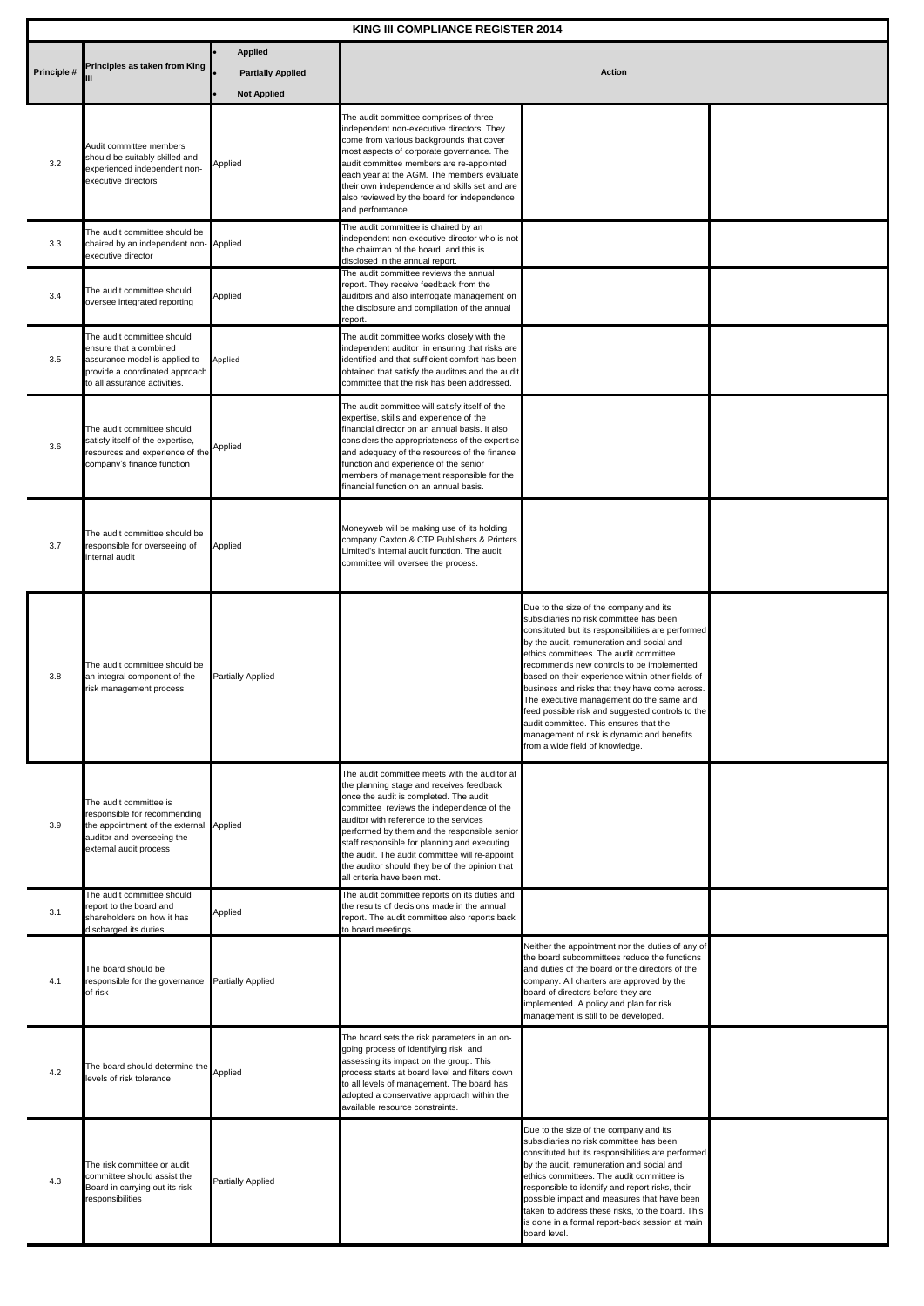| KING III COMPLIANCE REGISTER 2014 |                                                                                                                                                           |                                                                  |                                                                                                                                                                                                                                                                                                                                                                                                                                                               |                                                                                                                                                                                                                                                                                                                                                                                                                                                                                                                                                                                                              |  |  |
|-----------------------------------|-----------------------------------------------------------------------------------------------------------------------------------------------------------|------------------------------------------------------------------|---------------------------------------------------------------------------------------------------------------------------------------------------------------------------------------------------------------------------------------------------------------------------------------------------------------------------------------------------------------------------------------------------------------------------------------------------------------|--------------------------------------------------------------------------------------------------------------------------------------------------------------------------------------------------------------------------------------------------------------------------------------------------------------------------------------------------------------------------------------------------------------------------------------------------------------------------------------------------------------------------------------------------------------------------------------------------------------|--|--|
| Principle #                       | Principles as taken from King                                                                                                                             | <b>Applied</b><br><b>Partially Applied</b><br><b>Not Applied</b> | <b>Action</b>                                                                                                                                                                                                                                                                                                                                                                                                                                                 |                                                                                                                                                                                                                                                                                                                                                                                                                                                                                                                                                                                                              |  |  |
| 3.2                               | Audit committee members<br>should be suitably skilled and<br>experienced independent non-<br>executive directors                                          | Applied                                                          | The audit committee comprises of three<br>independent non-executive directors. They<br>come from various backgrounds that cover<br>most aspects of corporate governance. The<br>audit committee members are re-appointed<br>each year at the AGM. The members evaluate<br>their own independence and skills set and are<br>also reviewed by the board for independence<br>and performance.                                                                    |                                                                                                                                                                                                                                                                                                                                                                                                                                                                                                                                                                                                              |  |  |
| 3.3                               | The audit committee should be<br>chaired by an independent non- Applied<br>executive director                                                             |                                                                  | The audit committee is chaired by an<br>independent non-executive director who is not<br>the chairman of the board and this is<br>disclosed in the annual report.                                                                                                                                                                                                                                                                                             |                                                                                                                                                                                                                                                                                                                                                                                                                                                                                                                                                                                                              |  |  |
| 3.4                               | The audit committee should<br>oversee integrated reporting                                                                                                | Applied                                                          | The audit committee reviews the annual<br>report. They receive feedback from the<br>auditors and also interrogate management on<br>the disclosure and compilation of the annual<br>report.                                                                                                                                                                                                                                                                    |                                                                                                                                                                                                                                                                                                                                                                                                                                                                                                                                                                                                              |  |  |
| 3.5                               | The audit committee should<br>ensure that a combined<br>assurance model is applied to<br>provide a coordinated approach<br>to all assurance activities.   | Applied                                                          | The audit committee works closely with the<br>independent auditor in ensuring that risks are<br>identified and that sufficient comfort has been<br>obtained that satisfy the auditors and the audit<br>committee that the risk has been addressed.                                                                                                                                                                                                            |                                                                                                                                                                                                                                                                                                                                                                                                                                                                                                                                                                                                              |  |  |
| 3.6                               | The audit committee should<br>satisfy itself of the expertise,<br>resources and experience of the<br>company's finance function                           | Applied                                                          | The audit committee will satisfy itself of the<br>expertise, skills and experience of the<br>financial director on an annual basis. It also<br>considers the appropriateness of the expertise<br>and adequacy of the resources of the finance<br>function and experience of the senior<br>members of management responsible for the<br>financial function on an annual basis.                                                                                 |                                                                                                                                                                                                                                                                                                                                                                                                                                                                                                                                                                                                              |  |  |
| 3.7                               | The audit committee should be<br>responsible for overseeing of<br>nternal audit                                                                           | Applied                                                          | Moneyweb will be making use of its holding<br>company Caxton & CTP Publishers & Printers<br>Limited's internal audit function. The audit<br>committee will oversee the process.                                                                                                                                                                                                                                                                               |                                                                                                                                                                                                                                                                                                                                                                                                                                                                                                                                                                                                              |  |  |
| 3.8                               | The audit committee should be<br>an integral component of the<br>risk management process                                                                  | Partially Applied                                                |                                                                                                                                                                                                                                                                                                                                                                                                                                                               | Due to the size of the company and its<br>subsidiaries no risk committee has been<br>constituted but its responsibilities are performed<br>by the audit, remuneration and social and<br>ethics committees. The audit committee<br>recommends new controls to be implemented<br>based on their experience within other fields of<br>business and risks that they have come across.<br>The executive management do the same and<br>feed possible risk and suggested controls to the<br>audit committee. This ensures that the<br>management of risk is dynamic and benefits<br>from a wide field of knowledge. |  |  |
| 3.9                               | The audit committee is<br>responsible for recommending<br>the appointment of the external Applied<br>auditor and overseeing the<br>external audit process |                                                                  | The audit committee meets with the auditor at<br>the planning stage and receives feedback<br>once the audit is completed. The audit<br>committee reviews the independence of the<br>auditor with reference to the services<br>performed by them and the responsible senior<br>staff responsible for planning and executing<br>the audit. The audit committee will re-appoint<br>the auditor should they be of the opinion that<br>all criteria have been met. |                                                                                                                                                                                                                                                                                                                                                                                                                                                                                                                                                                                                              |  |  |
| 3.1                               | The audit committee should<br>report to the board and<br>shareholders on how it has<br>discharged its duties                                              | Applied                                                          | The audit committee reports on its duties and<br>the results of decisions made in the annual<br>report. The audit committee also reports back<br>to board meetings.                                                                                                                                                                                                                                                                                           |                                                                                                                                                                                                                                                                                                                                                                                                                                                                                                                                                                                                              |  |  |
| 4.1                               | The board should be<br>responsible for the governance<br>of risk                                                                                          | Partially Applied                                                |                                                                                                                                                                                                                                                                                                                                                                                                                                                               | Neither the appointment nor the duties of any of<br>the board subcommittees reduce the functions<br>and duties of the board or the directors of the<br>company. All charters are approved by the<br>board of directors before they are<br>implemented. A policy and plan for risk<br>management is still to be developed.                                                                                                                                                                                                                                                                                    |  |  |
| 4.2                               | The board should determine the<br>levels of risk tolerance                                                                                                | Applied                                                          | The board sets the risk parameters in an on-<br>going process of identifying risk and<br>assessing its impact on the group. This<br>process starts at board level and filters down<br>to all levels of management. The board has<br>adopted a conservative approach within the<br>available resource constraints.                                                                                                                                             |                                                                                                                                                                                                                                                                                                                                                                                                                                                                                                                                                                                                              |  |  |
| 4.3                               | The risk committee or audit<br>committee should assist the<br>Board in carrying out its risk<br>responsibilities                                          | Partially Applied                                                |                                                                                                                                                                                                                                                                                                                                                                                                                                                               | Due to the size of the company and its<br>subsidiaries no risk committee has been<br>constituted but its responsibilities are performed<br>by the audit, remuneration and social and<br>ethics committees. The audit committee is<br>responsible to identify and report risks, their<br>possible impact and measures that have been<br>taken to address these risks, to the board. This<br>is done in a formal report-back session at main<br>board level.                                                                                                                                                   |  |  |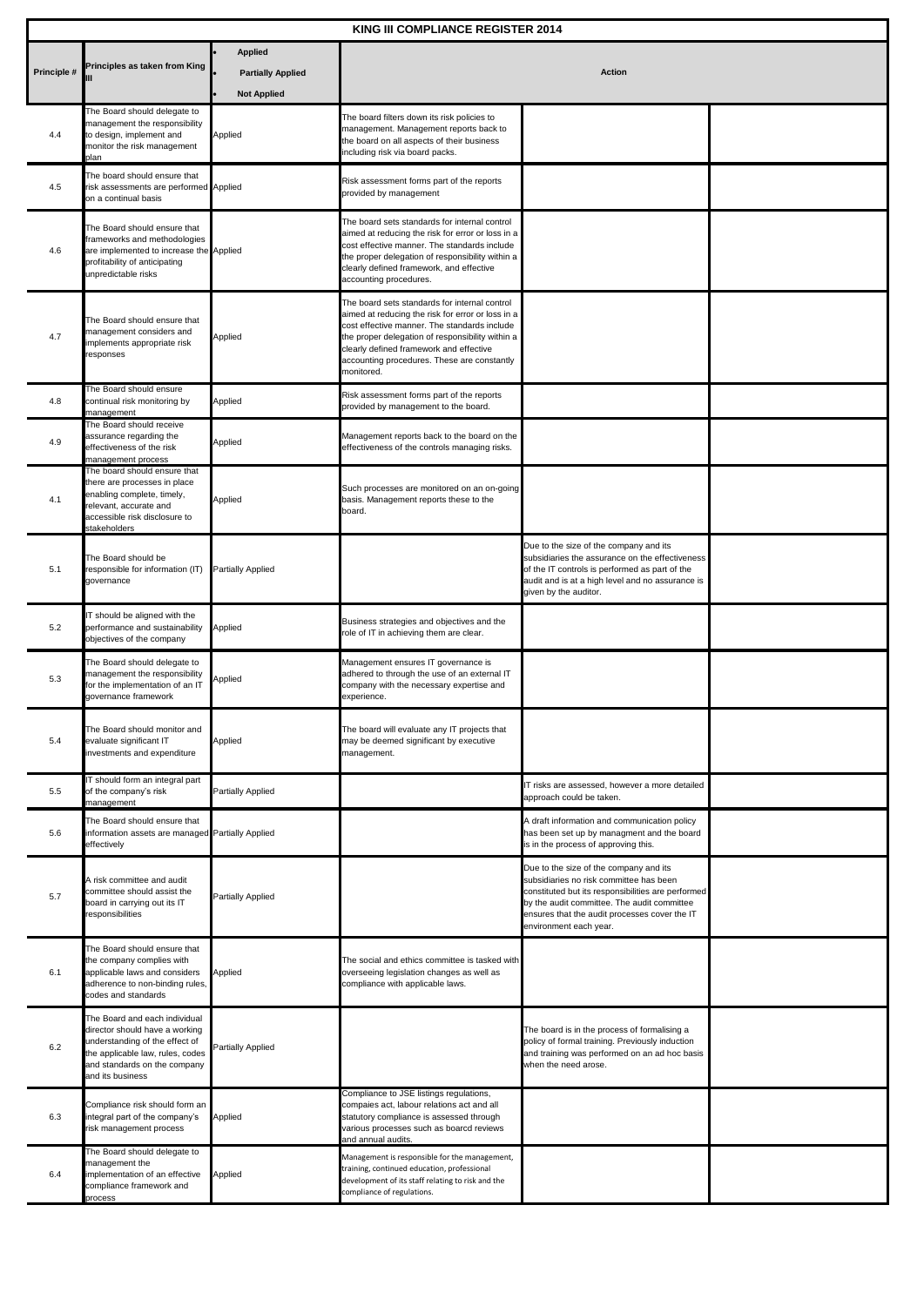| <b>KING III COMPLIANCE REGISTER 2014</b> |                                                                                                                                                                                           |                                                                  |                                                                                                                                                                                                                                                                                                                |                                                                                                                                                                                                                                                                   |  |  |
|------------------------------------------|-------------------------------------------------------------------------------------------------------------------------------------------------------------------------------------------|------------------------------------------------------------------|----------------------------------------------------------------------------------------------------------------------------------------------------------------------------------------------------------------------------------------------------------------------------------------------------------------|-------------------------------------------------------------------------------------------------------------------------------------------------------------------------------------------------------------------------------------------------------------------|--|--|
| Principle #                              | Principles as taken from King                                                                                                                                                             | <b>Applied</b><br><b>Partially Applied</b><br><b>Not Applied</b> | <b>Action</b>                                                                                                                                                                                                                                                                                                  |                                                                                                                                                                                                                                                                   |  |  |
| 4.4                                      | The Board should delegate to<br>management the responsibility<br>to design, implement and<br>monitor the risk management<br>plan                                                          | Applied                                                          | The board filters down its risk policies to<br>management. Management reports back to<br>the board on all aspects of their business<br>ncluding risk via board packs.                                                                                                                                          |                                                                                                                                                                                                                                                                   |  |  |
| 4.5                                      | The board should ensure that<br>risk assessments are performed Applied<br>on a continual basis                                                                                            |                                                                  | Risk assessment forms part of the reports<br>provided by management                                                                                                                                                                                                                                            |                                                                                                                                                                                                                                                                   |  |  |
| 4.6                                      | The Board should ensure that<br>frameworks and methodologies<br>are implemented to increase the Applied<br>profitability of anticipating<br>unpredictable risks                           |                                                                  | The board sets standards for internal control<br>aimed at reducing the risk for error or loss in a<br>cost effective manner. The standards include<br>the proper delegation of responsibility within a<br>clearly defined framework, and effective<br>accounting procedures.                                   |                                                                                                                                                                                                                                                                   |  |  |
| 4.7                                      | The Board should ensure that<br>management considers and<br>implements appropriate risk<br>responses                                                                                      | Applied                                                          | The board sets standards for internal control<br>aimed at reducing the risk for error or loss in a<br>cost effective manner. The standards include<br>the proper delegation of responsibility within a<br>clearly defined framework and effective<br>accounting procedures. These are constantly<br>monitored. |                                                                                                                                                                                                                                                                   |  |  |
| 4.8                                      | The Board should ensure<br>continual risk monitoring by<br>management                                                                                                                     | Applied                                                          | Risk assessment forms part of the reports<br>provided by management to the board.                                                                                                                                                                                                                              |                                                                                                                                                                                                                                                                   |  |  |
| 4.9                                      | The Board should receive<br>assurance regarding the<br>effectiveness of the risk<br>management process                                                                                    | Applied                                                          | Management reports back to the board on the<br>effectiveness of the controls managing risks.                                                                                                                                                                                                                   |                                                                                                                                                                                                                                                                   |  |  |
| 4.1                                      | The board should ensure that<br>there are processes in place<br>enabling complete, timely,<br>relevant, accurate and<br>accessible risk disclosure to<br>stakeholders                     | Applied                                                          | Such processes are monitored on an on-going<br>basis. Management reports these to the<br>board.                                                                                                                                                                                                                |                                                                                                                                                                                                                                                                   |  |  |
| 5.1                                      | The Board should be<br>responsible for information (IT) Partially Applied<br>governance                                                                                                   |                                                                  |                                                                                                                                                                                                                                                                                                                | Due to the size of the company and its<br>subsidiaries the assurance on the effectiveness<br>of the IT controls is performed as part of the<br>audit and is at a high level and no assurance is<br>given by the auditor.                                          |  |  |
| 5.2                                      | IT should be aligned with the<br>performance and sustainability<br>objectives of the company                                                                                              | Applied                                                          | Business strategies and objectives and the<br>role of IT in achieving them are clear.                                                                                                                                                                                                                          |                                                                                                                                                                                                                                                                   |  |  |
| 5.3                                      | The Board should delegate to<br>management the responsibility<br>for the implementation of an IT<br>governance framework                                                                  | Applied                                                          | Management ensures IT governance is<br>adhered to through the use of an external IT<br>company with the necessary expertise and<br>experience.                                                                                                                                                                 |                                                                                                                                                                                                                                                                   |  |  |
| 5.4                                      | The Board should monitor and<br>evaluate significant IT<br>investments and expenditure                                                                                                    | Applied                                                          | The board will evaluate any IT projects that<br>may be deemed significant by executive<br>management.                                                                                                                                                                                                          |                                                                                                                                                                                                                                                                   |  |  |
| 5.5                                      | IT should form an integral part<br>of the company's risk<br>management                                                                                                                    | <b>Partially Applied</b>                                         |                                                                                                                                                                                                                                                                                                                | IT risks are assessed, however a more detailed<br>approach could be taken.                                                                                                                                                                                        |  |  |
| 5.6                                      | The Board should ensure that<br>information assets are managed Partially Applied<br>effectively                                                                                           |                                                                  |                                                                                                                                                                                                                                                                                                                | A draft information and communication policy<br>has been set up by managment and the board<br>is in the process of approving this.                                                                                                                                |  |  |
| 5.7                                      | A risk committee and audit<br>committee should assist the<br>board in carrying out its IT<br>responsibilities                                                                             | <b>Partially Applied</b>                                         |                                                                                                                                                                                                                                                                                                                | Due to the size of the company and its<br>subsidiaries no risk committee has been<br>constituted but its responsibilities are performed<br>by the audit committee. The audit committee<br>ensures that the audit processes cover the IT<br>environment each year. |  |  |
| 6.1                                      | The Board should ensure that<br>the company complies with<br>applicable laws and considers<br>adherence to non-binding rules,<br>codes and standards                                      | Applied                                                          | The social and ethics committee is tasked with<br>overseeing legislation changes as well as<br>compliance with applicable laws.                                                                                                                                                                                |                                                                                                                                                                                                                                                                   |  |  |
| 6.2                                      | The Board and each individual<br>director should have a working<br>understanding of the effect of<br>the applicable law, rules, codes<br>and standards on the company<br>and its business | Partially Applied                                                |                                                                                                                                                                                                                                                                                                                | The board is in the process of formalising a<br>policy of formal training. Previously induction<br>and training was performed on an ad hoc basis<br>when the need arose.                                                                                          |  |  |
| 6.3                                      | Compliance risk should form an<br>integral part of the company's<br>risk management process                                                                                               | Applied                                                          | Compliance to JSE listings regulations,<br>compaies act, labour relations act and all<br>statutory compliance is assessed through<br>various processes such as boarcd reviews<br>and annual audits.                                                                                                            |                                                                                                                                                                                                                                                                   |  |  |
| 6.4                                      | The Board should delegate to<br>management the<br>implementation of an effective<br>compliance framework and<br>process                                                                   | Applied                                                          | Management is responsible for the management,<br>training, continued education, professional<br>development of its staff relating to risk and the<br>compliance of regulations.                                                                                                                                |                                                                                                                                                                                                                                                                   |  |  |